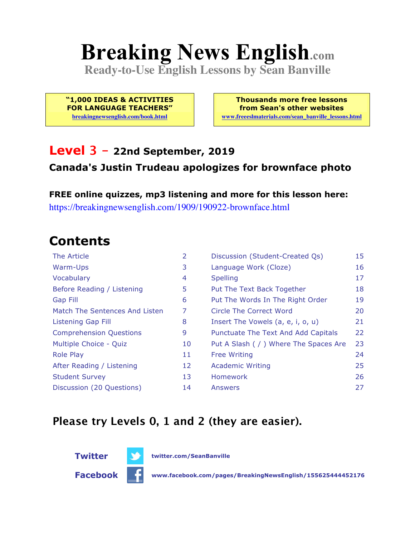# **Breaking News English.com**

**Ready-to-Use English Lessons by Sean Banville**

**"1,000 IDEAS & ACTIVITIES FOR LANGUAGE TEACHERS"**

**breakingnewsenglish.com/book.html**

**Thousands more free lessons from Sean's other websites www.freeeslmaterials.com/sean\_banville\_lessons.html**

#### **Level 3 - 22nd September, 2019 Canada's Justin Trudeau apologizes for brownface photo**

**FREE online quizzes, mp3 listening and more for this lesson here:** https://breakingnewsenglish.com/1909/190922-brownface.html

### **Contents**

| The Article                    | 2  | Discussion (Student-Created Qs)        | 15 |
|--------------------------------|----|----------------------------------------|----|
| Warm-Ups                       | 3  | Language Work (Cloze)                  | 16 |
| Vocabulary                     | 4  | <b>Spelling</b>                        | 17 |
| Before Reading / Listening     | 5  | Put The Text Back Together             | 18 |
| Gap Fill                       | 6  | Put The Words In The Right Order       | 19 |
| Match The Sentences And Listen | 7  | Circle The Correct Word                | 20 |
| Listening Gap Fill             | 8  | Insert The Vowels (a, e, i, o, u)      | 21 |
| <b>Comprehension Questions</b> | 9  | Punctuate The Text And Add Capitals    | 22 |
| Multiple Choice - Quiz         | 10 | Put A Slash ( / ) Where The Spaces Are | 23 |
| <b>Role Play</b>               | 11 | <b>Free Writing</b>                    | 24 |
| After Reading / Listening      | 12 | <b>Academic Writing</b>                | 25 |
| <b>Student Survey</b>          | 13 | <b>Homework</b>                        | 26 |
| Discussion (20 Questions)      | 14 | Answers                                | 27 |

#### **Please try Levels 0, 1 and 2 (they are easier).**

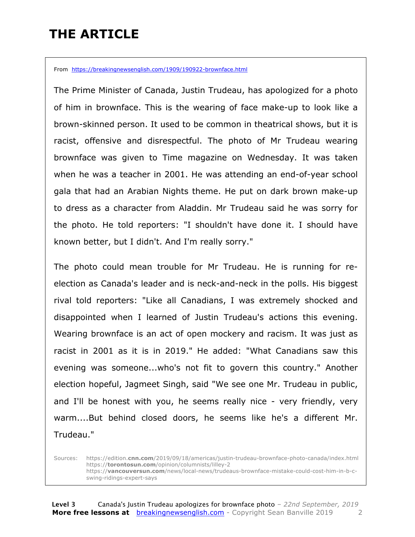### **THE ARTICLE**

From https://breakingnewsenglish.com/1909/190922-brownface.html

The Prime Minister of Canada, Justin Trudeau, has apologized for a photo of him in brownface. This is the wearing of face make-up to look like a brown-skinned person. It used to be common in theatrical shows, but it is racist, offensive and disrespectful. The photo of Mr Trudeau wearing brownface was given to Time magazine on Wednesday. It was taken when he was a teacher in 2001. He was attending an end-of-year school gala that had an Arabian Nights theme. He put on dark brown make-up to dress as a character from Aladdin. Mr Trudeau said he was sorry for the photo. He told reporters: "I shouldn't have done it. I should have known better, but I didn't. And I'm really sorry."

The photo could mean trouble for Mr Trudeau. He is running for reelection as Canada's leader and is neck-and-neck in the polls. His biggest rival told reporters: "Like all Canadians, I was extremely shocked and disappointed when I learned of Justin Trudeau's actions this evening. Wearing brownface is an act of open mockery and racism. It was just as racist in 2001 as it is in 2019." He added: "What Canadians saw this evening was someone...who's not fit to govern this country." Another election hopeful, Jagmeet Singh, said "We see one Mr. Trudeau in public, and I'll be honest with you, he seems really nice - very friendly, very warm....But behind closed doors, he seems like he's a different Mr. Trudeau."

Sources: https://edition.**cnn.com**/2019/09/18/americas/justin-trudeau-brownface-photo-canada/index.html https://**torontosun.com**/opinion/columnists/lilley-2 https://**vancouversun.com**/news/local-news/trudeaus-brownface-mistake-could-cost-him-in-b-cswing-ridings-expert-says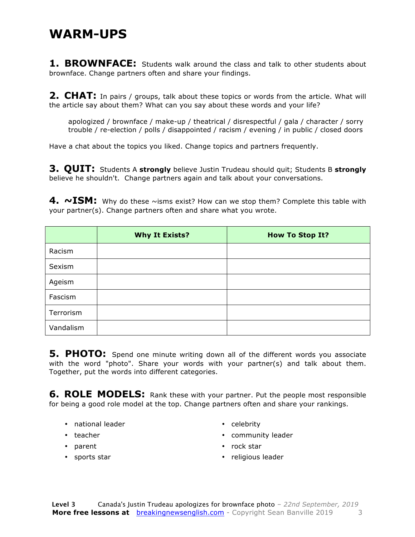#### **WARM-UPS**

**1. BROWNFACE:** Students walk around the class and talk to other students about brownface. Change partners often and share your findings.

**2. CHAT:** In pairs / groups, talk about these topics or words from the article. What will the article say about them? What can you say about these words and your life?

apologized / brownface / make-up / theatrical / disrespectful / gala / character / sorry trouble / re-election / polls / disappointed / racism / evening / in public / closed doors

Have a chat about the topics you liked. Change topics and partners frequently.

**3. QUIT:** Students A **strongly** believe Justin Trudeau should quit; Students B **strongly** believe he shouldn't. Change partners again and talk about your conversations.

**4. ∼ISM:** Why do these ~isms exist? How can we stop them? Complete this table with your partner(s). Change partners often and share what you wrote.

|           | <b>Why It Exists?</b> | <b>How To Stop It?</b> |
|-----------|-----------------------|------------------------|
| Racism    |                       |                        |
| Sexism    |                       |                        |
| Ageism    |                       |                        |
| Fascism   |                       |                        |
| Terrorism |                       |                        |
| Vandalism |                       |                        |

**5. PHOTO:** Spend one minute writing down all of the different words you associate with the word "photo". Share your words with your partner(s) and talk about them. Together, put the words into different categories.

**6. ROLE MODELS:** Rank these with your partner. Put the people most responsible for being a good role model at the top. Change partners often and share your rankings.

- national leader
- teacher
- parent
- sports star
- celebrity
- community leader
- rock star
- religious leader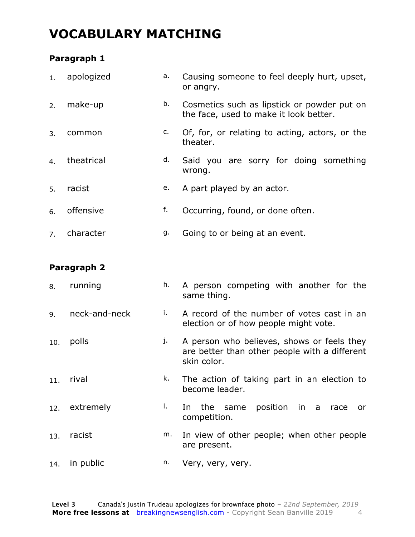### **VOCABULARY MATCHING**

#### **Paragraph 1**

| 1. | apologized | а. | Causing someone to feel deeply hurt, upset,<br>or angry.                              |  |  |  |  |
|----|------------|----|---------------------------------------------------------------------------------------|--|--|--|--|
| 2. | make-up    | b. | Cosmetics such as lipstick or powder put on<br>the face, used to make it look better. |  |  |  |  |
| 3. | common     | c. | Of, for, or relating to acting, actors, or the<br>theater.                            |  |  |  |  |
| 4. | theatrical | d. | Said you are sorry for doing something<br>wrong.                                      |  |  |  |  |
| 5. | racist     | e. | A part played by an actor.                                                            |  |  |  |  |
| 6. | offensive  | f. | Occurring, found, or done often.                                                      |  |  |  |  |
| 7. | character  | g. | Going to or being at an event.                                                        |  |  |  |  |

#### **Paragraph 2**

| 8.  | running       | h. | A person competing with another for the<br>same thing.                                                     |  |  |  |  |
|-----|---------------|----|------------------------------------------------------------------------------------------------------------|--|--|--|--|
| 9.  | neck-and-neck | i. | A record of the number of votes cast in an<br>election or of how people might vote.                        |  |  |  |  |
| 10. | polls         | j. | A person who believes, shows or feels they<br>are better than other people with a different<br>skin color. |  |  |  |  |
| 11. | rival         | k. | The action of taking part in an election to<br>become leader.                                              |  |  |  |  |
| 12. | extremely     | L. | In the same position in a<br>race<br>or.<br>competition.                                                   |  |  |  |  |
| 13. | racist        | m. | In view of other people; when other people<br>are present.                                                 |  |  |  |  |
| 14. | in public     | n. | Very, very, very.                                                                                          |  |  |  |  |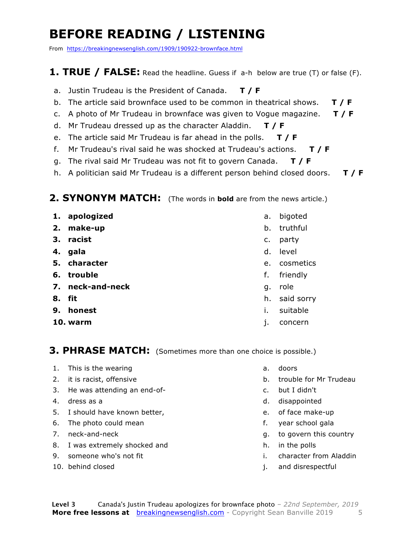### **BEFORE READING / LISTENING**

From https://breakingnewsenglish.com/1909/190922-brownface.html

#### **1. TRUE / FALSE:** Read the headline. Guess if a-h below are true (T) or false (F).

- a. Justin Trudeau is the President of Canada. **T / F**
- b. The article said brownface used to be common in theatrical shows. **T / F**
- c. A photo of Mr Trudeau in brownface was given to Vogue magazine. **T / F**
- d. Mr Trudeau dressed up as the character Aladdin. **T / F**
- e. The article said Mr Trudeau is far ahead in the polls. **T / F**
- f. Mr Trudeau's rival said he was shocked at Trudeau's actions. **T / F**
- g. The rival said Mr Trudeau was not fit to govern Canada. **T / F**
- h. A politician said Mr Trudeau is a different person behind closed doors. **T / F**

#### **2. SYNONYM MATCH:** (The words in **bold** are from the news article.)

- **1. apologized 2. make-up 3. racist 4. gala 5. character 6. trouble 7. neck-and-neck 8. fit 9. honest 10. warm**
- a. bigoted
- b. truthful
- c. party
- d. level
- e. cosmetics
- f. friendly
- g. role
- h. said sorry
- i. suitable
- j. concern

#### **3. PHRASE MATCH:** (Sometimes more than one choice is possible.)

- 1. This is the wearing
- 2. it is racist, offensive
- 3. He was attending an end-of-
- 4. dress as a
- 5. I should have known better,
- 6. The photo could mean
- 7. neck-and-neck
- 8. I was extremely shocked and
- 9. someone who's not fit
- 10. behind closed
- a. doors
- b. trouble for Mr Trudeau
- c. but I didn't
- d. disappointed
- e. of face make-up
- f. year school gala
- g. to govern this country
- h. in the polls
- i. character from Aladdin
- j. and disrespectful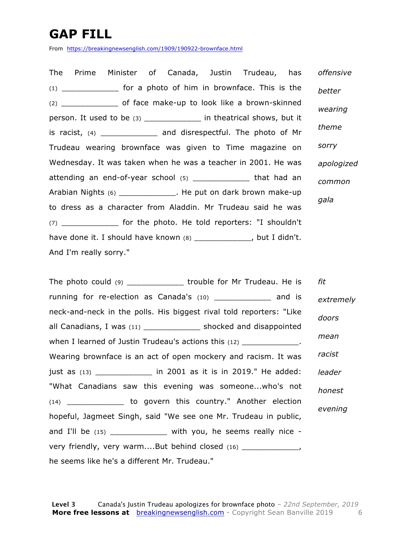### **GAP FILL**

From https://breakingnewsenglish.com/1909/190922-brownface.html

The Prime Minister of Canada, Justin Trudeau, has  $(1)$  \_\_\_\_\_\_\_\_\_\_\_\_\_\_ for a photo of him in brownface. This is the (2) \_\_\_\_\_\_\_\_\_\_\_\_ of face make-up to look like a brown-skinned person. It used to be (3) \_\_\_\_\_\_\_\_\_\_\_\_ in theatrical shows, but it is racist, (4) \_\_\_\_\_\_\_\_\_\_\_\_ and disrespectful. The photo of Mr Trudeau wearing brownface was given to Time magazine on Wednesday. It was taken when he was a teacher in 2001. He was attending an end-of-year school (5) \_\_\_\_\_\_\_\_\_\_\_\_ that had an Arabian Nights (6) \_\_\_\_\_\_\_\_\_\_\_\_\_\_\_\_. He put on dark brown make-up to dress as a character from Aladdin. Mr Trudeau said he was  $(7)$  \_\_\_\_\_\_\_\_\_\_\_\_\_\_\_\_ for the photo. He told reporters: "I shouldn't have done it. I should have known (8) \_\_\_\_\_\_\_\_\_\_\_\_, but I didn't. And I'm really sorry." *offensive better wearing theme sorry apologized common gala*

The photo could (9) \_\_\_\_\_\_\_\_\_\_\_\_\_\_\_\_ trouble for Mr Trudeau. He is running for re-election as Canada's (10) and is neck-and-neck in the polls. His biggest rival told reporters: "Like all Canadians, I was (11) \_\_\_\_\_\_\_\_\_\_\_\_ shocked and disappointed when I learned of Justin Trudeau's actions this (12) The manner of  $\overline{I}$ Wearing brownface is an act of open mockery and racism. It was just as (13) \_\_\_\_\_\_\_\_\_\_\_\_ in 2001 as it is in 2019." He added: "What Canadians saw this evening was someone...who's not (14) \_\_\_\_\_\_\_\_\_\_\_\_ to govern this country." Another election hopeful, Jagmeet Singh, said "We see one Mr. Trudeau in public, and I'll be (15) \_\_\_\_\_\_\_\_\_\_\_\_\_ with you, he seems really nice very friendly, very warm....But behind closed (16) \_\_\_\_\_\_\_\_\_\_\_\_\_\_, he seems like he's a different Mr. Trudeau." *fit extremely doors mean racist leader honest evening*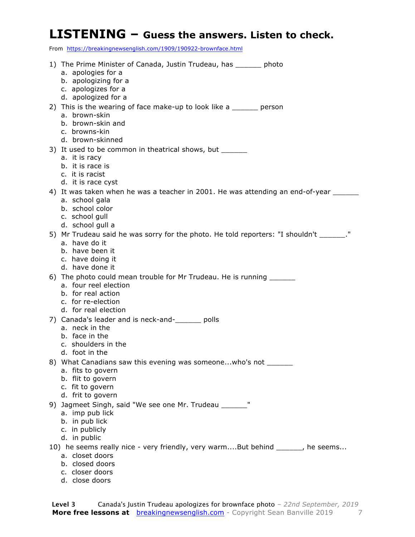#### **LISTENING – Guess the answers. Listen to check.**

From https://breakingnewsenglish.com/1909/190922-brownface.html

| 1) The Prime Minister of Canada, Justin Trudeau, has ______ photo<br>a. apologies for a                                                                             |
|---------------------------------------------------------------------------------------------------------------------------------------------------------------------|
| b. apologizing for a<br>c. apologizes for a<br>d. apologized for a                                                                                                  |
| 2) This is the wearing of face make-up to look like a _______ person<br>a. brown-skin<br>b. brown-skin and                                                          |
| c. browns-kin<br>d. brown-skinned                                                                                                                                   |
| 3) It used to be common in theatrical shows, but ______<br>a. it is racy<br>b. it is race is<br>c. it is racist<br>d. it is race cyst                               |
| 4) It was taken when he was a teacher in 2001. He was attending an end-of-year ______<br>a. school gala<br>b. school color<br>c. school gull<br>d. school gull a    |
| 5) Mr Trudeau said he was sorry for the photo. He told reporters: "I shouldn't ______."<br>a. have do it<br>b. have been it<br>c. have doing it<br>d. have done it  |
| 6) The photo could mean trouble for Mr Trudeau. He is running ________<br>a. four reel election<br>b. for real action<br>c. for re-election<br>d. for real election |
| 7) Canada's leader and is neck-and- sum polls<br>a. neck in the<br>b. face in the<br>c. shoulders in the<br>d. foot in the                                          |
| 8) What Canadians saw this evening was someonewho's not _______<br>a. fits to govern<br>b. flit to govern<br>c. fit to govern<br>d. frit to govern                  |
| 9) Jagmeet Singh, said "We see one Mr. Trudeau ______"<br>a. imp pub lick<br>b. in pub lick<br>c. in publicly<br>d. in public                                       |
| 10) he seems really nice - very friendly, very warmBut behind _____, he seems<br>a. closet doors<br>b. closed doors<br>c. closer doors<br>d. close doors            |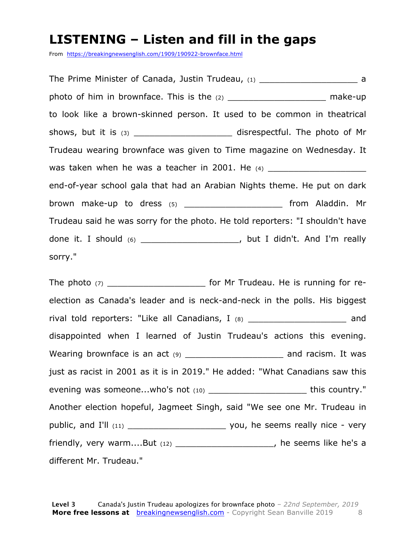### **LISTENING – Listen and fill in the gaps**

From https://breakingnewsenglish.com/1909/190922-brownface.html

The Prime Minister of Canada, Justin Trudeau, (1) \_\_\_\_\_\_\_\_\_\_\_\_\_\_\_\_\_\_\_\_\_\_\_\_ a photo of him in brownface. This is the  $(2)$  \_\_\_\_\_\_\_\_\_\_\_\_\_\_\_\_\_\_\_\_\_\_\_\_\_\_\_\_ make-up to look like a brown-skinned person. It used to be common in theatrical shows, but it is (3) \_\_\_\_\_\_\_\_\_\_\_\_\_\_\_\_\_\_\_\_\_\_\_\_ disrespectful. The photo of Mr Trudeau wearing brownface was given to Time magazine on Wednesday. It was taken when he was a teacher in 2001. He  $(4)$ end-of-year school gala that had an Arabian Nights theme. He put on dark brown make-up to dress (5) \_\_\_\_\_\_\_\_\_\_\_\_\_\_\_\_\_\_\_ from Aladdin. Mr Trudeau said he was sorry for the photo. He told reporters: "I shouldn't have done it. I should  $(6)$  \_\_\_\_\_\_\_\_\_\_\_\_\_\_\_\_\_\_\_\_\_, but I didn't. And I'm really sorry."

The photo (7) \_\_\_\_\_\_\_\_\_\_\_\_\_\_\_\_\_\_\_\_\_\_\_\_\_\_\_ for Mr Trudeau. He is running for reelection as Canada's leader and is neck-and-neck in the polls. His biggest rival told reporters: "Like all Canadians,  $I$  (8)  $\frac{1}{1}$ disappointed when I learned of Justin Trudeau's actions this evening. Wearing brownface is an act (9) \_\_\_\_\_\_\_\_\_\_\_\_\_\_\_\_\_\_\_\_\_\_\_ and racism. It was just as racist in 2001 as it is in 2019." He added: "What Canadians saw this evening was someone...who's not (10) \_\_\_\_\_\_\_\_\_\_\_\_\_\_\_\_\_\_\_\_\_\_\_this country." Another election hopeful, Jagmeet Singh, said "We see one Mr. Trudeau in public, and I'll (11) \_\_\_\_\_\_\_\_\_\_\_\_\_\_\_\_\_\_\_ you, he seems really nice - very friendly, very warm....But (12) \_\_\_\_\_\_\_\_\_\_\_\_\_\_\_\_\_\_\_\_\_\_\_, he seems like he's a different Mr. Trudeau."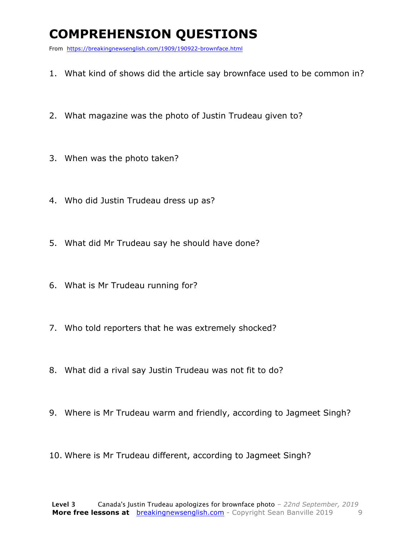### **COMPREHENSION QUESTIONS**

From https://breakingnewsenglish.com/1909/190922-brownface.html

- 1. What kind of shows did the article say brownface used to be common in?
- 2. What magazine was the photo of Justin Trudeau given to?
- 3. When was the photo taken?
- 4. Who did Justin Trudeau dress up as?
- 5. What did Mr Trudeau say he should have done?
- 6. What is Mr Trudeau running for?
- 7. Who told reporters that he was extremely shocked?
- 8. What did a rival say Justin Trudeau was not fit to do?
- 9. Where is Mr Trudeau warm and friendly, according to Jagmeet Singh?
- 10. Where is Mr Trudeau different, according to Jagmeet Singh?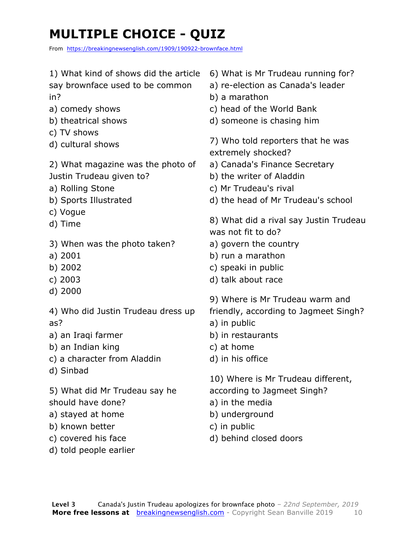### **MULTIPLE CHOICE - QUIZ**

From https://breakingnewsenglish.com/1909/190922-brownface.html

| 1) What kind of shows did the article<br>say brownface used to be common<br>in?<br>a) comedy shows<br>b) theatrical shows | 6) What is Mr Trudeau running for?<br>a) re-election as Canada's leader<br>b) a marathon<br>c) head of the World Bank<br>d) someone is chasing him |
|---------------------------------------------------------------------------------------------------------------------------|----------------------------------------------------------------------------------------------------------------------------------------------------|
| c) TV shows<br>d) cultural shows                                                                                          | 7) Who told reporters that he was<br>extremely shocked?                                                                                            |
| 2) What magazine was the photo of                                                                                         | a) Canada's Finance Secretary                                                                                                                      |
| Justin Trudeau given to?                                                                                                  | b) the writer of Aladdin                                                                                                                           |
| a) Rolling Stone                                                                                                          | c) Mr Trudeau's rival                                                                                                                              |
| b) Sports Illustrated                                                                                                     | d) the head of Mr Trudeau's school                                                                                                                 |
| c) Vogue<br>d) Time                                                                                                       | 8) What did a rival say Justin Trudeau<br>was not fit to do?                                                                                       |
| 3) When was the photo taken?                                                                                              | a) govern the country                                                                                                                              |
| a) 2001                                                                                                                   | b) run a marathon                                                                                                                                  |
| b) 2002                                                                                                                   | c) speaki in public                                                                                                                                |
| c) 2003                                                                                                                   | d) talk about race                                                                                                                                 |
| d) 2000                                                                                                                   |                                                                                                                                                    |
|                                                                                                                           | 9) Where is Mr Trudeau warm and                                                                                                                    |
| 4) Who did Justin Trudeau dress up<br>as?                                                                                 | friendly, according to Jagmeet Singh?                                                                                                              |
| a) an Iraqi farmer                                                                                                        | a) in public<br>b) in restaurants                                                                                                                  |
| b) an Indian king                                                                                                         | c) at home                                                                                                                                         |
| c) a character from Aladdin                                                                                               | d) in his office                                                                                                                                   |
| d) Sinbad                                                                                                                 |                                                                                                                                                    |
|                                                                                                                           | 10) Where is Mr Trudeau different,                                                                                                                 |
| 5) What did Mr Trudeau say he                                                                                             | according to Jagmeet Singh?                                                                                                                        |
| should have done?                                                                                                         | a) in the media                                                                                                                                    |
| a) stayed at home                                                                                                         | b) underground                                                                                                                                     |
| b) known better                                                                                                           | c) in public                                                                                                                                       |
| c) covered his face                                                                                                       | d) behind closed doors                                                                                                                             |
| d) told people earlier                                                                                                    |                                                                                                                                                    |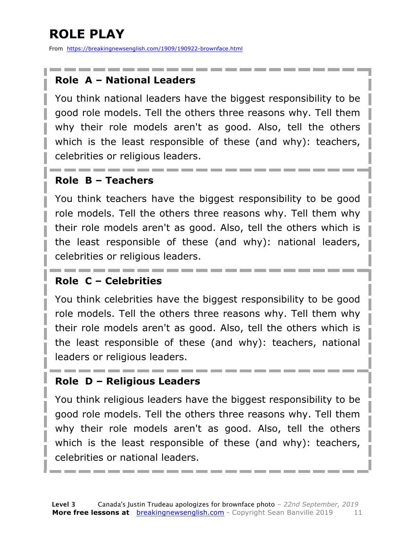## **ROLE PLAY**

From https://breakingnewsenglish.com/1909/190922-brownface.html

#### **Role A – National Leaders**

You think national leaders have the biggest responsibility to be good role models. Tell the others three reasons why. Tell them why their role models aren't as good. Also, tell the others which is the least responsible of these (and why): teachers, celebrities or religious leaders.

#### **Role B – Teachers**

You think teachers have the biggest responsibility to be good role models. Tell the others three reasons why. Tell them why their role models aren't as good. Also, tell the others which is the least responsible of these (and why): national leaders, celebrities or religious leaders.

#### **Role C – Celebrities**

You think celebrities have the biggest responsibility to be good role models. Tell the others three reasons why. Tell them why their role models aren't as good. Also, tell the others which is the least responsible of these (and why): teachers, national leaders or religious leaders.

#### **Role D – Religious Leaders**

You think religious leaders have the biggest responsibility to be good role models. Tell the others three reasons why. Tell them why their role models aren't as good. Also, tell the others which is the least responsible of these (and why): teachers, celebrities or national leaders.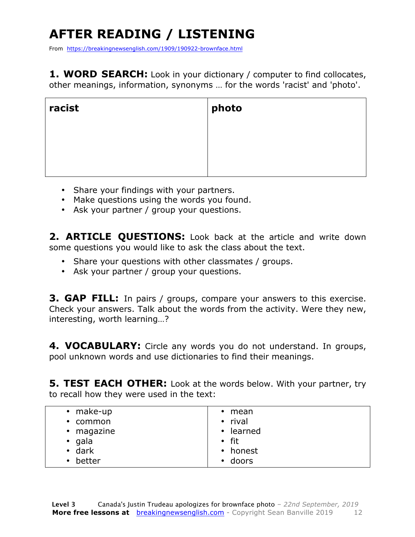## **AFTER READING / LISTENING**

From https://breakingnewsenglish.com/1909/190922-brownface.html

**1. WORD SEARCH:** Look in your dictionary / computer to find collocates, other meanings, information, synonyms … for the words 'racist' and 'photo'.

| racist | photo |
|--------|-------|
|        |       |
|        |       |

- Share your findings with your partners.
- Make questions using the words you found.
- Ask your partner / group your questions.

2. **ARTICLE OUESTIONS:** Look back at the article and write down some questions you would like to ask the class about the text.

- Share your questions with other classmates / groups.
- Ask your partner / group your questions.

**3. GAP FILL:** In pairs / groups, compare your answers to this exercise. Check your answers. Talk about the words from the activity. Were they new, interesting, worth learning…?

**4. VOCABULARY:** Circle any words you do not understand. In groups, pool unknown words and use dictionaries to find their meanings.

**5. TEST EACH OTHER:** Look at the words below. With your partner, try to recall how they were used in the text:

| • make-up         | $\cdot$ mean |
|-------------------|--------------|
| $\cdot$ common    | • rival      |
| • magazine        | • learned    |
| gala<br>$\bullet$ | $\cdot$ fit  |
| $\bullet$ dark    | • honest     |
| better<br>٠       | • doors      |
|                   |              |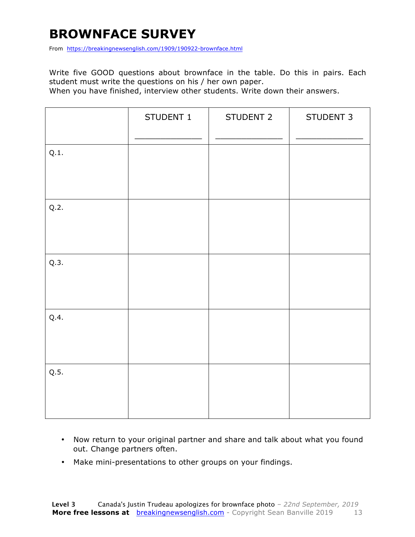### **BROWNFACE SURVEY**

From https://breakingnewsenglish.com/1909/190922-brownface.html

Write five GOOD questions about brownface in the table. Do this in pairs. Each student must write the questions on his / her own paper.

When you have finished, interview other students. Write down their answers.

|      | STUDENT 1 | STUDENT 2 | STUDENT 3 |
|------|-----------|-----------|-----------|
| Q.1. |           |           |           |
| Q.2. |           |           |           |
| Q.3. |           |           |           |
| Q.4. |           |           |           |
| Q.5. |           |           |           |

- Now return to your original partner and share and talk about what you found out. Change partners often.
- Make mini-presentations to other groups on your findings.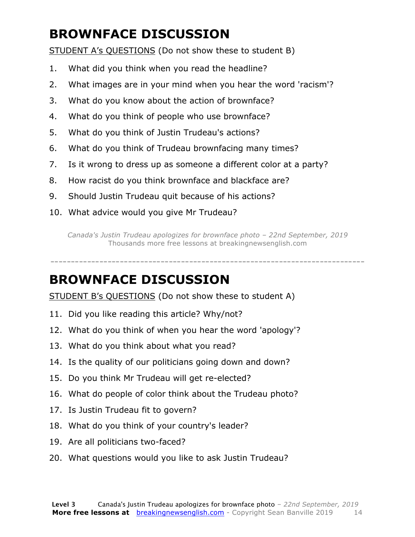### **BROWNFACE DISCUSSION**

STUDENT A's QUESTIONS (Do not show these to student B)

- 1. What did you think when you read the headline?
- 2. What images are in your mind when you hear the word 'racism'?
- 3. What do you know about the action of brownface?
- 4. What do you think of people who use brownface?
- 5. What do you think of Justin Trudeau's actions?
- 6. What do you think of Trudeau brownfacing many times?
- 7. Is it wrong to dress up as someone a different color at a party?
- 8. How racist do you think brownface and blackface are?
- 9. Should Justin Trudeau quit because of his actions?
- 10. What advice would you give Mr Trudeau?

*Canada's Justin Trudeau apologizes for brownface photo – 22nd September, 2019* Thousands more free lessons at breakingnewsenglish.com

#### ----------------------------------------------------------------------------- **BROWNFACE DISCUSSION**

STUDENT B's QUESTIONS (Do not show these to student A)

- 11. Did you like reading this article? Why/not?
- 12. What do you think of when you hear the word 'apology'?
- 13. What do you think about what you read?
- 14. Is the quality of our politicians going down and down?
- 15. Do you think Mr Trudeau will get re-elected?
- 16. What do people of color think about the Trudeau photo?
- 17. Is Justin Trudeau fit to govern?
- 18. What do you think of your country's leader?
- 19. Are all politicians two-faced?
- 20. What questions would you like to ask Justin Trudeau?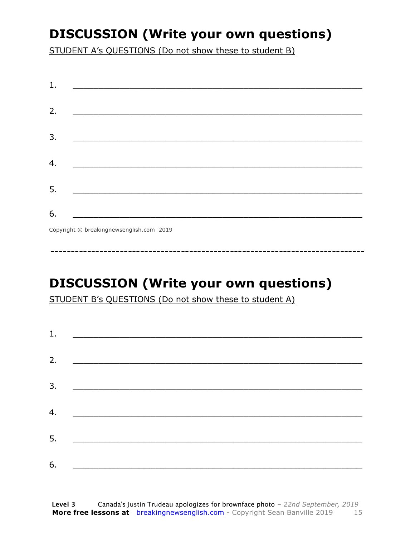### **DISCUSSION (Write your own questions)**

STUDENT A's QUESTIONS (Do not show these to student B)

| 1. |                                           |
|----|-------------------------------------------|
|    |                                           |
| 2. |                                           |
|    |                                           |
| 3. |                                           |
|    |                                           |
| 4. |                                           |
|    |                                           |
| 5. |                                           |
|    |                                           |
| 6. |                                           |
|    | Convright © breaking newsenglish com 2019 |

Copyright © breakingnewsenglish.com 2019

### **DISCUSSION (Write your own questions)**

STUDENT B's QUESTIONS (Do not show these to student A)

| 1. |                                                                     |  |  |
|----|---------------------------------------------------------------------|--|--|
|    |                                                                     |  |  |
| 2. | <u> 1980 - Andrea Stadt British, fransk politik (d. 1980)</u>       |  |  |
| 3. | <u> 1980 - Andrea Andrew Maria (h. 19</u>                           |  |  |
| 4. |                                                                     |  |  |
|    | <u> 1989 - Johann Stoff, fransk politik (d. 1989)</u>               |  |  |
| 5. | <u> 1980 - Jan Stein Stein, fransk politik amerikansk politik (</u> |  |  |
| 6. | <u> 1989 - Johann Barbara, martxa alemaniar a</u>                   |  |  |
|    |                                                                     |  |  |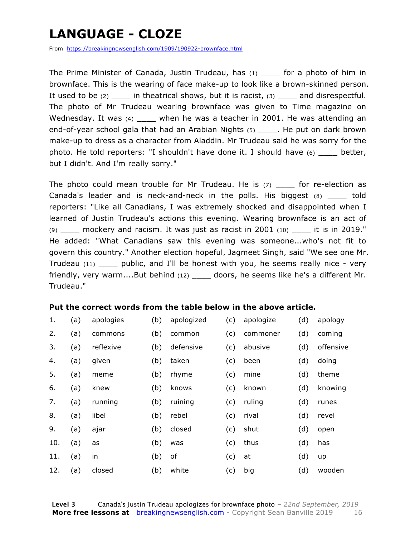### **LANGUAGE - CLOZE**

From https://breakingnewsenglish.com/1909/190922-brownface.html

The Prime Minister of Canada, Justin Trudeau, has  $(1)$  for a photo of him in brownface. This is the wearing of face make-up to look like a brown-skinned person. It used to be  $(2)$  in theatrical shows, but it is racist,  $(3)$  and disrespectful. The photo of Mr Trudeau wearing brownface was given to Time magazine on Wednesday. It was (4) \_\_\_\_\_ when he was a teacher in 2001. He was attending an end-of-year school gala that had an Arabian Nights (5) The put on dark brown make-up to dress as a character from Aladdin. Mr Trudeau said he was sorry for the photo. He told reporters: "I shouldn't have done it. I should have (6) \_\_\_\_ better, but I didn't. And I'm really sorry."

The photo could mean trouble for Mr Trudeau. He is  $(7)$  \_\_\_\_ for re-election as Canada's leader and is neck-and-neck in the polls. His biggest  $(8)$  told reporters: "Like all Canadians, I was extremely shocked and disappointed when I learned of Justin Trudeau's actions this evening. Wearing brownface is an act of  $(9)$  mockery and racism. It was just as racist in 2001  $(10)$  it is in 2019." He added: "What Canadians saw this evening was someone...who's not fit to govern this country." Another election hopeful, Jagmeet Singh, said "We see one Mr. Trudeau (11) \_\_\_\_ public, and I'll be honest with you, he seems really nice - very friendly, very warm....But behind (12) \_\_\_\_ doors, he seems like he's a different Mr. Trudeau."

#### **Put the correct words from the table below in the above article.**

| 1.  | (a) | apologies | (b) | apologized | (c) | apologize | (d) | apology   |
|-----|-----|-----------|-----|------------|-----|-----------|-----|-----------|
| 2.  | (a) | commons   | (b) | common     | (c) | commoner  | (d) | coming    |
| 3.  | (a) | reflexive | (b) | defensive  | (c) | abusive   | (d) | offensive |
| 4.  | (a) | given     | (b) | taken      | (c) | been      | (d) | doing     |
| 5.  | (a) | meme      | (b) | rhyme      | (c) | mine      | (d) | theme     |
| 6.  | (a) | knew      | (b) | knows      | (c) | known     | (d) | knowing   |
| 7.  | (a) | running   | (b) | ruining    | (c) | ruling    | (d) | runes     |
| 8.  | (a) | libel     | (b) | rebel      | (c) | rival     | (d) | revel     |
| 9.  | (a) | ajar      | (b) | closed     | (c) | shut      | (d) | open      |
| 10. | (a) | as        | (b) | was        | (c) | thus      | (d) | has       |
| 11. | (a) | in        | (b) | οf         | (c) | at        | (d) | up        |
| 12. | (a) | closed    | (b) | white      | (c) | big       | (d) | wooden    |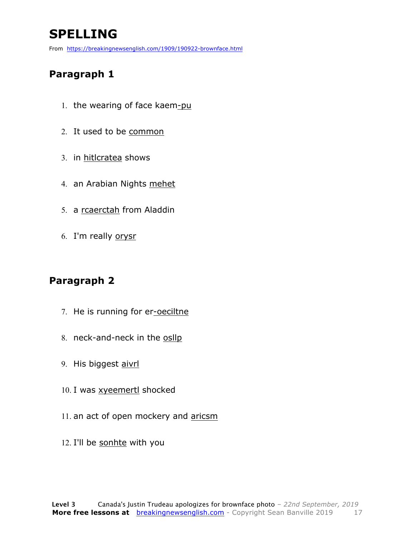### **SPELLING**

From https://breakingnewsenglish.com/1909/190922-brownface.html

#### **Paragraph 1**

- 1. the wearing of face kaem-pu
- 2. It used to be common
- 3. in hitlcratea shows
- 4. an Arabian Nights mehet
- 5. a rcaerctah from Aladdin
- 6. I'm really orysr

#### **Paragraph 2**

- 7. He is running for er-oeciltne
- 8. neck-and-neck in the osllp
- 9. His biggest aivrl
- 10. I was xyeemertl shocked
- 11. an act of open mockery and aricsm
- 12. I'll be sonhte with you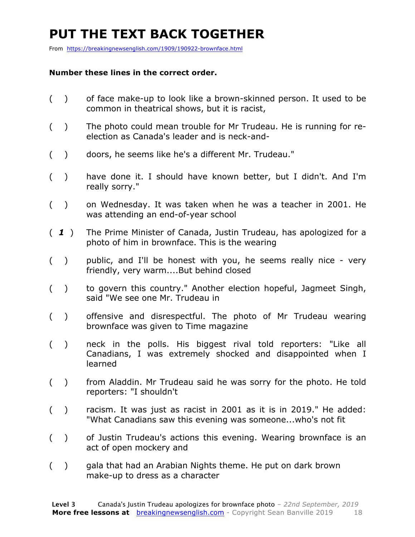### **PUT THE TEXT BACK TOGETHER**

From https://breakingnewsenglish.com/1909/190922-brownface.html

#### **Number these lines in the correct order.**

- ( ) of face make-up to look like a brown-skinned person. It used to be common in theatrical shows, but it is racist,
- ( ) The photo could mean trouble for Mr Trudeau. He is running for reelection as Canada's leader and is neck-and-
- ( ) doors, he seems like he's a different Mr. Trudeau."
- ( ) have done it. I should have known better, but I didn't. And I'm really sorry."
- ( ) on Wednesday. It was taken when he was a teacher in 2001. He was attending an end-of-year school
- ( *1* ) The Prime Minister of Canada, Justin Trudeau, has apologized for a photo of him in brownface. This is the wearing
- ( ) public, and I'll be honest with you, he seems really nice very friendly, very warm....But behind closed
- ( ) to govern this country." Another election hopeful, Jagmeet Singh, said "We see one Mr. Trudeau in
- ( ) offensive and disrespectful. The photo of Mr Trudeau wearing brownface was given to Time magazine
- ( ) neck in the polls. His biggest rival told reporters: "Like all Canadians, I was extremely shocked and disappointed when I learned
- ( ) from Aladdin. Mr Trudeau said he was sorry for the photo. He told reporters: "I shouldn't
- ( ) racism. It was just as racist in 2001 as it is in 2019." He added: "What Canadians saw this evening was someone...who's not fit
- ( ) of Justin Trudeau's actions this evening. Wearing brownface is an act of open mockery and
- ( ) gala that had an Arabian Nights theme. He put on dark brown make-up to dress as a character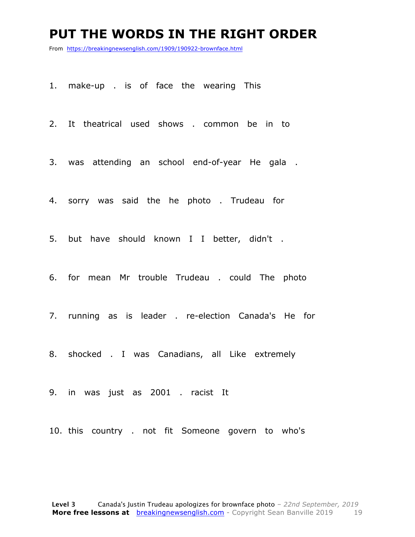#### **PUT THE WORDS IN THE RIGHT ORDER**

From https://breakingnewsenglish.com/1909/190922-brownface.html

1. make-up . is of face the wearing This

2. It theatrical used shows . common be in to

3. was attending an school end-of-year He gala .

4. sorry was said the he photo . Trudeau for

5. but have should known I I better, didn't .

6. for mean Mr trouble Trudeau . could The photo

7. running as is leader . re-election Canada's He for

8. shocked . I was Canadians, all Like extremely

9. in was just as 2001 . racist It

10. this country . not fit Someone govern to who's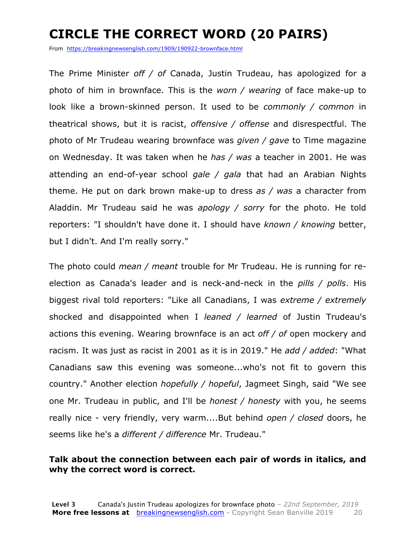### **CIRCLE THE CORRECT WORD (20 PAIRS)**

From https://breakingnewsenglish.com/1909/190922-brownface.html

The Prime Minister *off / of* Canada, Justin Trudeau, has apologized for a photo of him in brownface. This is the *worn / wearing* of face make-up to look like a brown-skinned person. It used to be *commonly / common* in theatrical shows, but it is racist, *offensive / offense* and disrespectful. The photo of Mr Trudeau wearing brownface was *given / gave* to Time magazine on Wednesday. It was taken when he *has / was* a teacher in 2001. He was attending an end-of-year school *gale / gala* that had an Arabian Nights theme. He put on dark brown make-up to dress *as / was* a character from Aladdin. Mr Trudeau said he was *apology / sorry* for the photo. He told reporters: "I shouldn't have done it. I should have *known / knowing* better, but I didn't. And I'm really sorry."

The photo could *mean / meant* trouble for Mr Trudeau. He is running for reelection as Canada's leader and is neck-and-neck in the *pills / polls*. His biggest rival told reporters: "Like all Canadians, I was *extreme / extremely* shocked and disappointed when I *leaned / learned* of Justin Trudeau's actions this evening. Wearing brownface is an act *off / of* open mockery and racism. It was just as racist in 2001 as it is in 2019." He *add / added*: "What Canadians saw this evening was someone...who's not fit to govern this country." Another election *hopefully / hopeful*, Jagmeet Singh, said "We see one Mr. Trudeau in public, and I'll be *honest / honesty* with you, he seems really nice - very friendly, very warm....But behind *open / closed* doors, he seems like he's a *different / difference* Mr. Trudeau."

#### **Talk about the connection between each pair of words in italics, and why the correct word is correct.**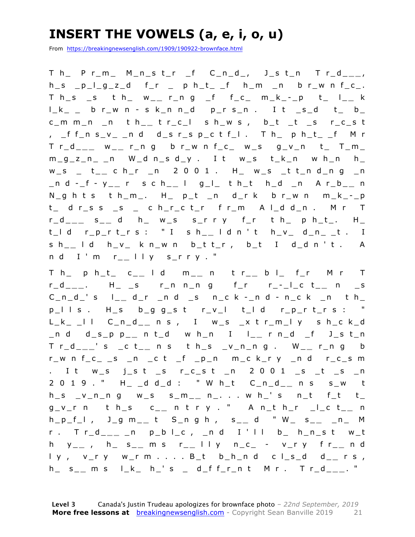### **INSERT THE VOWELS (a, e, i, o, u)**

From https://breakingnewsenglish.com/1909/190922-brownface.html

T h \_ P r \_ m \_ M \_ n \_ s t \_ r \_ f C \_ n \_ d \_ , J \_ s t \_ n T r \_ d \_ **\_ \_** ,  $h_s$  \_p\_l\_g\_z\_d f\_r \_ p h\_t\_ \_f h\_m \_n b r\_w n f\_c\_. T h \_ s \_ s t h \_ w \_ \_ r \_ n g \_ f f \_ c \_ m \_ k \_ - \_ p t \_ l \_ \_ k  $l_k$  \_ b r\_w n - s k\_n n\_d p\_r s\_n . I t \_s\_d t\_ b\_ c\_m m\_n \_n t h\_\_ t r\_c\_l s h\_w s, b\_t \_t \_s r\_c\_s t ,  $_f$  f  $f_n$  s  $v_n$   $n$  d  $d_s$  r  $s$   $p_c$  t  $f_1$  . Th  $p$   $h_t$   $t$   $f_n$   $f_n$ T r\_d\_\_\_ w\_\_ r\_n g b r\_w n f\_c\_ w\_s g\_v\_n t\_ T\_m\_  $m_g z_n$  n W d n s d y . I t w s t k n w h n h w \_ s \_ t \_ **\_** c h \_ r \_ n 2 0 0 1 . H \_ w \_ s \_ t t \_ n d \_ n g \_ n \_ n d - \_ f - y \_ **\_** r s c h \_ **\_** l g \_ l \_ t h \_ t h \_ d \_ n A r \_ b \_ **\_** n  $N_g$  h t s t h\_m\_. H\_ p\_t \_n d\_r k b r\_w n m\_k\_-\_p  $t_$  d r\_s s \_s \_ c h\_r\_c t\_r f r\_m A l\_d d\_n . M r T r\_d\_\_\_ s\_\_ d h\_ w\_s s\_rry f\_r t h\_ p h\_t\_. H\_  $t_l d$  r\_p\_r t\_r s : " I s h\_\_ l d n ' t h\_v\_ d\_n\_ \_t . I s h\_\_ l d h\_v\_ k n\_w n b\_t t\_r, b\_t I d\_d n ' t . A n d I ' m r \_ **\_** l l y s \_ r r y . "

T h \_ p h \_ t \_ c \_ **\_** l d m \_ **\_** n t r \_ **\_** b l \_ f \_ r M r T r \_ d \_ **\_ \_** . H \_ \_ s r \_ n n \_ n g f \_ r r \_ - \_ l \_ c t \_ **\_** n \_ s C\_n\_d\_'s l\_\_ d\_r \_n d \_s n\_c k -\_n d - n\_c k \_n t h\_  $p_l$  l s . H \_ s b \_ g g \_ s t r \_ v \_ l t \_ l d r \_ p \_ r t \_ r s : " L\_k\_ \_l l C\_n\_d\_\_ n s, I w\_s \_x t r\_m\_l y s h\_c k\_d \_ n d d \_ s \_ p p \_ **\_** n t \_ d w h \_ n I l \_ **\_** r n \_ d \_ f J \_ s t \_ n T r \_ d \_ **\_ \_** ' s \_ c t \_ **\_** n s t h \_ s \_ v \_ n \_ n g . W \_ **\_** r \_ n g b  $r_w$  n f  $c_{-}$  s  $_n$  c t  $_f$   $_{p_n}$  m  $_c$  k  $_{r}$  y  $_n$  d  $_{r_c}$  s m . It w\_s j\_st \_s r\_c\_st \_n 2001 \_s \_t \_s \_n 2 0 1 9 . " H \_ \_ d d \_ d : " W h \_ t C \_ n \_ d \_ \_ n s s \_ w t h \_s \_v \_n \_n g w \_s s \_m \_ \_ n \_ . . w h \_' s n \_t f \_t t \_ g\_v\_r n t h\_s c\_\_ n t r y . " A n\_t h\_r \_l\_c t\_\_ n h \_ p \_ f \_ l , J \_ g m \_ **\_** t S \_ n g h , s \_ **\_** d " W \_ s \_ **\_** \_ n \_ M r . T r \_ d \_ **\_ \_** \_ n p \_ b l \_ c , \_ n d I ' l l b \_ h \_ n \_ s t w \_ t h y \_ **\_** , h \_ s \_ **\_** m s r \_ **\_** l l y n \_ c \_ - v \_ r y f r \_ **\_** n d l y , v \_ r y w \_ r m . . . . B \_ t b \_ h \_ n d c l \_ s \_ d d \_ **\_** r s , h \_ s \_ **\_** m s l \_ k \_ h \_ ' s \_ d \_ f f \_ r \_ n t M r . T r \_ d \_ **\_ \_** . "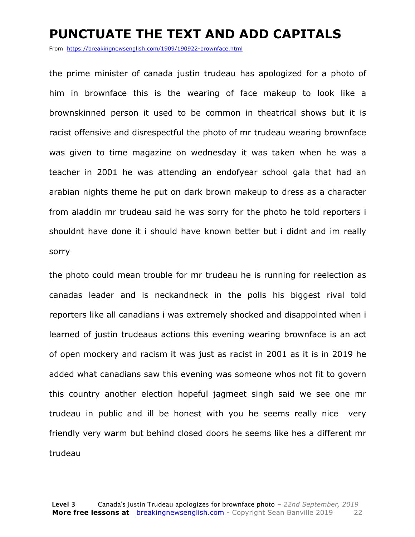#### **PUNCTUATE THE TEXT AND ADD CAPITALS**

From https://breakingnewsenglish.com/1909/190922-brownface.html

the prime minister of canada justin trudeau has apologized for a photo of him in brownface this is the wearing of face makeup to look like a brownskinned person it used to be common in theatrical shows but it is racist offensive and disrespectful the photo of mr trudeau wearing brownface was given to time magazine on wednesday it was taken when he was a teacher in 2001 he was attending an endofyear school gala that had an arabian nights theme he put on dark brown makeup to dress as a character from aladdin mr trudeau said he was sorry for the photo he told reporters i shouldnt have done it i should have known better but i didnt and im really sorry

the photo could mean trouble for mr trudeau he is running for reelection as canadas leader and is neckandneck in the polls his biggest rival told reporters like all canadians i was extremely shocked and disappointed when i learned of justin trudeaus actions this evening wearing brownface is an act of open mockery and racism it was just as racist in 2001 as it is in 2019 he added what canadians saw this evening was someone whos not fit to govern this country another election hopeful jagmeet singh said we see one mr trudeau in public and ill be honest with you he seems really nice very friendly very warm but behind closed doors he seems like hes a different mr trudeau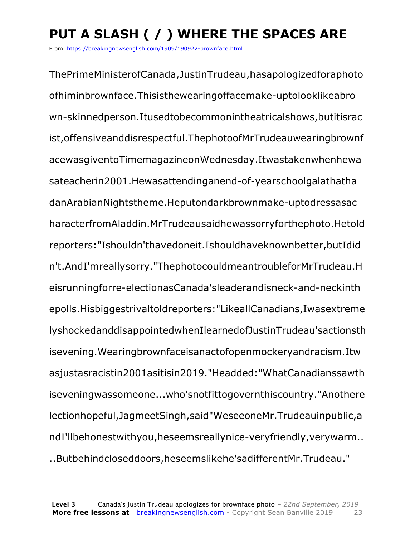### **PUT A SLASH ( / ) WHERE THE SPACES ARE**

From https://breakingnewsenglish.com/1909/190922-brownface.html

ThePrimeMinisterofCanada,JustinTrudeau,hasapologizedforaphoto ofhiminbrownface.Thisisthewearingoffacemake-uptolooklikeabro wn-skinnedperson.Itusedtobecommonintheatricalshows,butitisrac ist,offensiveanddisrespectful.ThephotoofMrTrudeauwearingbrownf acewasgiventoTimemagazineonWednesday.Itwastakenwhenhewa sateacherin2001.Hewasattendinganend-of-yearschoolgalathatha danArabianNightstheme.Heputondarkbrownmake-uptodressasac haracterfromAladdin.MrTrudeausaidhewassorryforthephoto.Hetold reporters:"Ishouldn'thavedoneit.Ishouldhaveknownbetter,butIdid n't.AndI'mreallysorry."ThephotocouldmeantroubleforMrTrudeau.H eisrunningforre-electionasCanada'sleaderandisneck-and-neckinth epolls.Hisbiggestrivaltoldreporters:"LikeallCanadians,Iwasextreme lyshockedanddisappointedwhenIlearnedofJustinTrudeau'sactionsth isevening.Wearingbrownfaceisanactofopenmockeryandracism.Itw asjustasracistin2001asitisin2019."Headded:"WhatCanadianssawth iseveningwassomeone...who'snotfittogovernthiscountry."Anothere lectionhopeful,JagmeetSingh,said"WeseeoneMr.Trudeauinpublic,a ndI'llbehonestwithyou,heseemsreallynice-veryfriendly,verywarm.. ..Butbehindcloseddoors,heseemslikehe'sadifferentMr.Trudeau."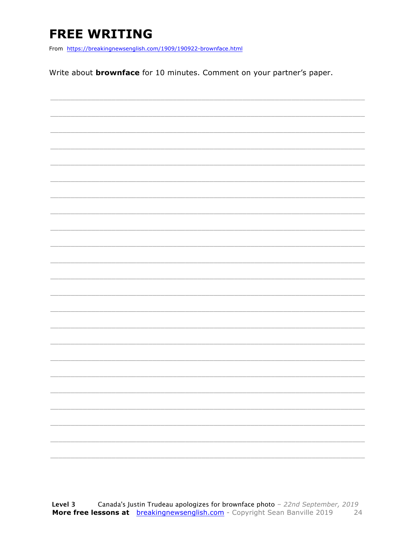### **FREE WRITING**

From https://breakingnewsenglish.com/1909/190922-brownface.html

Write about **brownface** for 10 minutes. Comment on your partner's paper.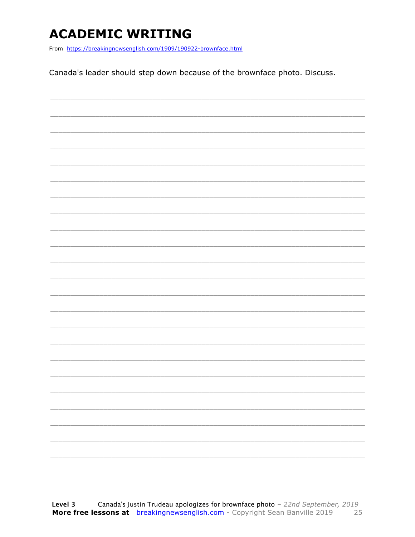### **ACADEMIC WRITING**

From https://breakingnewsenglish.com/1909/190922-brownface.html

Canada's leader should step down because of the brownface photo. Discuss.

|  | ___                      |
|--|--------------------------|
|  |                          |
|  | $\overline{\phantom{a}}$ |
|  |                          |
|  |                          |
|  |                          |
|  |                          |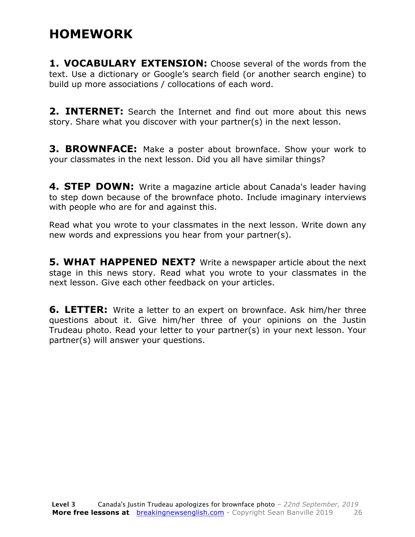### **HOMEWORK**

**1. VOCABULARY EXTENSION:** Choose several of the words from the text. Use a dictionary or Google's search field (or another search engine) to build up more associations / collocations of each word.

**2. INTERNET:** Search the Internet and find out more about this news story. Share what you discover with your partner(s) in the next lesson.

**3. BROWNFACE:** Make a poster about brownface. Show your work to your classmates in the next lesson. Did you all have similar things?

**4. STEP DOWN:** Write a magazine article about Canada's leader having to step down because of the brownface photo. Include imaginary interviews with people who are for and against this.

Read what you wrote to your classmates in the next lesson. Write down any new words and expressions you hear from your partner(s).

**5. WHAT HAPPENED NEXT?** Write a newspaper article about the next stage in this news story. Read what you wrote to your classmates in the next lesson. Give each other feedback on your articles.

**6. LETTER:** Write a letter to an expert on brownface. Ask him/her three questions about it. Give him/her three of your opinions on the Justin Trudeau photo. Read your letter to your partner(s) in your next lesson. Your partner(s) will answer your questions.